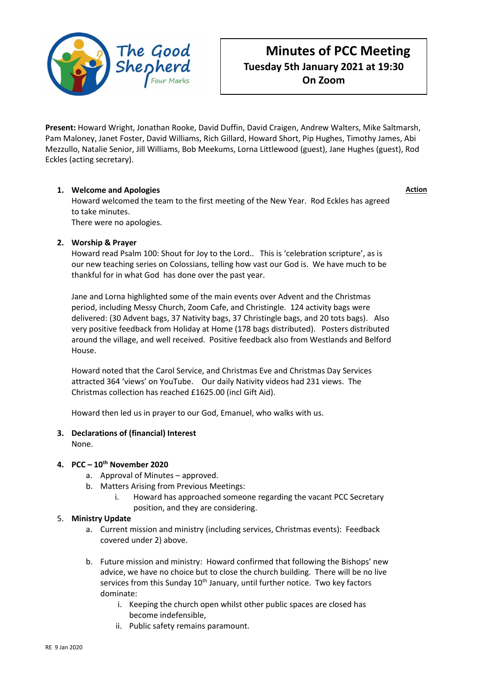

# **Minutes of PCC Meeting Tuesday 5th January 2021 at 19:30 On Zoom**

**Action**

**Present:** Howard Wright, Jonathan Rooke, David Duffin, David Craigen, Andrew Walters, Mike Saltmarsh, Pam Maloney, Janet Foster, David Williams, Rich Gillard, Howard Short, Pip Hughes, Timothy James, Abi Mezzullo, Natalie Senior, Jill Williams, Bob Meekums, Lorna Littlewood (guest), Jane Hughes (guest), Rod Eckles (acting secretary).

# **1. Welcome and Apologies**

Howard welcomed the team to the first meeting of the New Year. Rod Eckles has agreed to take minutes.

There were no apologies.

# **2. Worship & Prayer**

Howard read Psalm 100: Shout for Joy to the Lord.. This is 'celebration scripture', as is our new teaching series on Colossians, telling how vast our God is. We have much to be thankful for in what God has done over the past year.

Jane and Lorna highlighted some of the main events over Advent and the Christmas period, including Messy Church, Zoom Cafe, and Christingle. 124 activity bags were delivered: (30 Advent bags, 37 Nativity bags, 37 Christingle bags, and 20 tots bags). Also very positive feedback from Holiday at Home (178 bags distributed). Posters distributed around the village, and well received. Positive feedback also from Westlands and Belford House.

Howard noted that the Carol Service, and Christmas Eve and Christmas Day Services attracted 364 'views' on YouTube. Our daily Nativity videos had 231 views. The Christmas collection has reached £1625.00 (incl Gift Aid).

Howard then led us in prayer to our God, Emanuel, who walks with us.

## **3. Declarations of (financial) Interest**

None.

## **4. PCC – 10th November 2020**

- a. Approval of Minutes approved.
- b. Matters Arising from Previous Meetings:
	- i. Howard has approached someone regarding the vacant PCC Secretary position, and they are considering.

## 5. **Ministry Update**

- a. Current mission and ministry (including services, Christmas events): Feedback covered under 2) above.
- b. Future mission and ministry: Howard confirmed that following the Bishops' new advice, we have no choice but to close the church building. There will be no live services from this Sunday 10<sup>th</sup> January, until further notice. Two key factors dominate:
	- i. Keeping the church open whilst other public spaces are closed has become indefensible,
	- ii. Public safety remains paramount.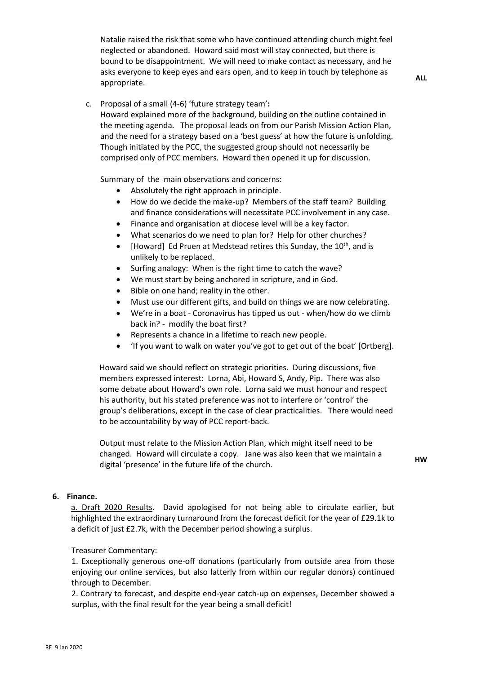Natalie raised the risk that some who have continued attending church might feel neglected or abandoned. Howard said most will stay connected, but there is bound to be disappointment. We will need to make contact as necessary, and he asks everyone to keep eyes and ears open, and to keep in touch by telephone as appropriate.

**ALL**

c. Proposal of a small (4-6) 'future strategy team'**:** 

Howard explained more of the background, building on the outline contained in the meeting agenda. The proposal leads on from our Parish Mission Action Plan, and the need for a strategy based on a 'best guess' at how the future is unfolding. Though initiated by the PCC, the suggested group should not necessarily be comprised only of PCC members. Howard then opened it up for discussion.

Summary of the main observations and concerns:

- Absolutely the right approach in principle.
- How do we decide the make-up? Members of the staff team? Building and finance considerations will necessitate PCC involvement in any case.
- Finance and organisation at diocese level will be a key factor.
- What scenarios do we need to plan for? Help for other churches?
- [Howard] Ed Pruen at Medstead retires this Sunday, the 10<sup>th</sup>, and is unlikely to be replaced.
- Surfing analogy: When is the right time to catch the wave?
- We must start by being anchored in scripture, and in God.
- Bible on one hand; reality in the other.
- Must use our different gifts, and build on things we are now celebrating.
- We're in a boat Coronavirus has tipped us out when/how do we climb back in? - modify the boat first?
- Represents a chance in a lifetime to reach new people.
- 'If you want to walk on water you've got to get out of the boat' [Ortberg].

Howard said we should reflect on strategic priorities. During discussions, five members expressed interest: Lorna, Abi, Howard S, Andy, Pip. There was also some debate about Howard's own role. Lorna said we must honour and respect his authority, but his stated preference was not to interfere or 'control' the group's deliberations, except in the case of clear practicalities. There would need to be accountability by way of PCC report-back.

Output must relate to the Mission Action Plan, which might itself need to be changed. Howard will circulate a copy. Jane was also keen that we maintain a digital 'presence' in the future life of the church.

**HW**

#### **6. Finance.**

a. Draft 2020 Results. David apologised for not being able to circulate earlier, but highlighted the extraordinary turnaround from the forecast deficit for the year of £29.1k to a deficit of just £2.7k, with the December period showing a surplus.

#### Treasurer Commentary:

1. Exceptionally generous one-off donations (particularly from outside area from those enjoying our online services, but also latterly from within our regular donors) continued through to December.

2. Contrary to forecast, and despite end-year catch-up on expenses, December showed a surplus, with the final result for the year being a small deficit!